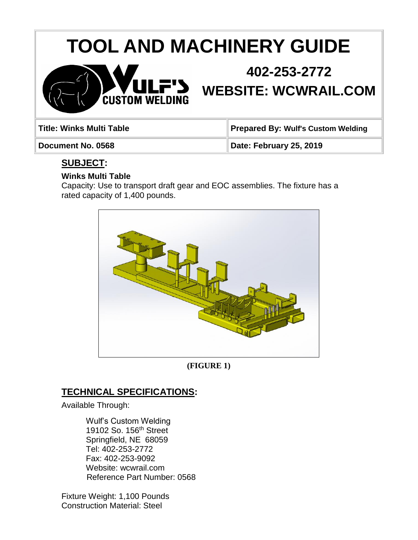# **TOOL AND MACHINERY GUIDE**



# **402-253-2772**

**WEBSITE: WCWRAIL.COM**

| Title: Winks Multi Table | Prepared By: Wulf's Custom Welding |
|--------------------------|------------------------------------|
| Document No. 0568        | Date: February 25, 2019            |

# **SUBJECT:**

#### **Winks Multi Table**

Capacity: Use to transport draft gear and EOC assemblies. The fixture has a rated capacity of 1,400 pounds.



**(FIGURE 1)**

# **TECHNICAL SPECIFICATIONS:**

Available Through:

Wulf's Custom Welding 19102 So. 156<sup>th</sup> Street Springfield, NE 68059 Tel: 402-253-2772 Fax: 402-253-9092 Website: wcwrail.com Reference Part Number: 0568

Fixture Weight: 1,100 Pounds Construction Material: Steel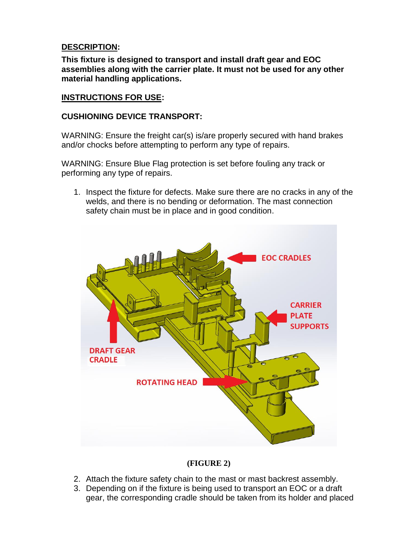#### **DESCRIPTION:**

**This fixture is designed to transport and install draft gear and EOC assemblies along with the carrier plate. It must not be used for any other material handling applications.** 

#### **INSTRUCTIONS FOR USE:**

#### **CUSHIONING DEVICE TRANSPORT:**

WARNING: Ensure the freight car(s) is/are properly secured with hand brakes and/or chocks before attempting to perform any type of repairs.

WARNING: Ensure Blue Flag protection is set before fouling any track or performing any type of repairs.

1. Inspect the fixture for defects. Make sure there are no cracks in any of the welds, and there is no bending or deformation. The mast connection safety chain must be in place and in good condition.



#### **(FIGURE 2)**

- 2. Attach the fixture safety chain to the mast or mast backrest assembly.
- 3. Depending on if the fixture is being used to transport an EOC or a draft gear, the corresponding cradle should be taken from its holder and placed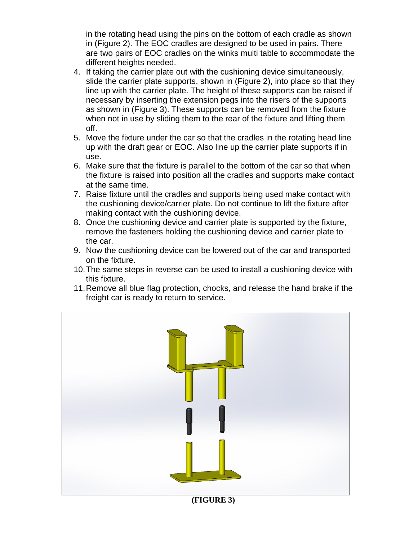in the rotating head using the pins on the bottom of each cradle as shown in (Figure 2). The EOC cradles are designed to be used in pairs. There are two pairs of EOC cradles on the winks multi table to accommodate the different heights needed.

- 4. If taking the carrier plate out with the cushioning device simultaneously, slide the carrier plate supports, shown in (Figure 2), into place so that they line up with the carrier plate. The height of these supports can be raised if necessary by inserting the extension pegs into the risers of the supports as shown in (Figure 3). These supports can be removed from the fixture when not in use by sliding them to the rear of the fixture and lifting them off.
- 5. Move the fixture under the car so that the cradles in the rotating head line up with the draft gear or EOC. Also line up the carrier plate supports if in use.
- 6. Make sure that the fixture is parallel to the bottom of the car so that when the fixture is raised into position all the cradles and supports make contact at the same time.
- 7. Raise fixture until the cradles and supports being used make contact with the cushioning device/carrier plate. Do not continue to lift the fixture after making contact with the cushioning device.
- 8. Once the cushioning device and carrier plate is supported by the fixture, remove the fasteners holding the cushioning device and carrier plate to the car.
- 9. Now the cushioning device can be lowered out of the car and transported on the fixture.
- 10.The same steps in reverse can be used to install a cushioning device with this fixture.
- 11.Remove all blue flag protection, chocks, and release the hand brake if the freight car is ready to return to service.



**(FIGURE 3)**